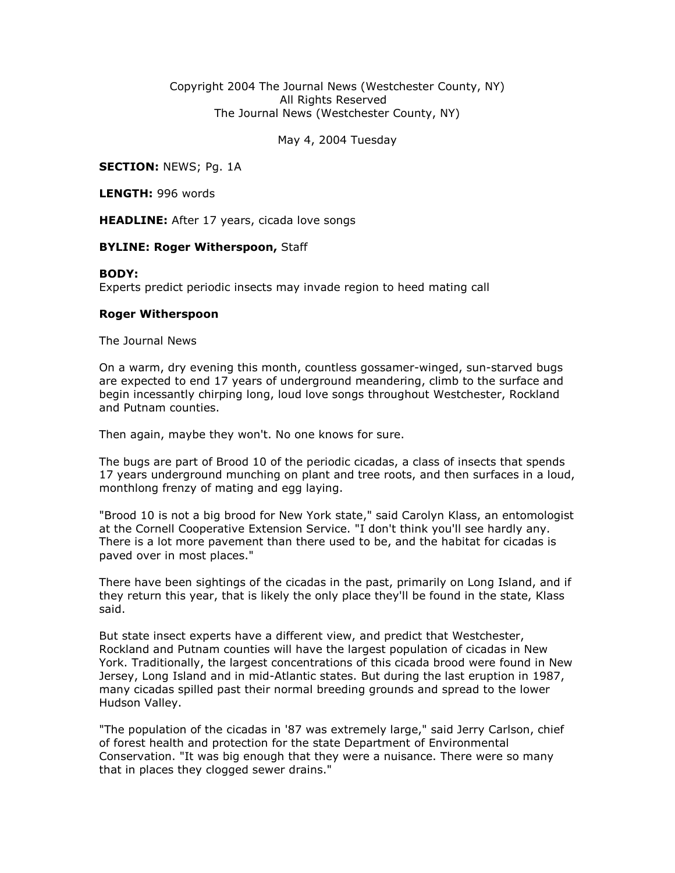Copyright 2004 The Journal News (Westchester County, NY) All Rights Reserved The Journal News (Westchester County, NY)

May 4, 2004 Tuesday

**SECTION: NEWS; Pg. 1A** 

LENGTH: 996 words

**HEADLINE:** After 17 years, cicada love songs

## **BYLINE: Roger Witherspoon, Staff**

## BODY:

Experts predict periodic insects may invade region to heed mating call

## Roger Witherspoon

The Journal News

On a warm, dry evening this month, countless gossamer-winged, sun-starved bugs are expected to end 17 years of underground meandering, climb to the surface and begin incessantly chirping long, loud love songs throughout Westchester, Rockland and Putnam counties.

Then again, maybe they won't. No one knows for sure.

The bugs are part of Brood 10 of the periodic cicadas, a class of insects that spends 17 years underground munching on plant and tree roots, and then surfaces in a loud, monthlong frenzy of mating and egg laying.

"Brood 10 is not a big brood for New York state," said Carolyn Klass, an entomologist at the Cornell Cooperative Extension Service. "I don't think you'll see hardly any. There is a lot more pavement than there used to be, and the habitat for cicadas is paved over in most places."

There have been sightings of the cicadas in the past, primarily on Long Island, and if they return this year, that is likely the only place they'll be found in the state, Klass said.

But state insect experts have a different view, and predict that Westchester, Rockland and Putnam counties will have the largest population of cicadas in New York. Traditionally, the largest concentrations of this cicada brood were found in New Jersey, Long Island and in mid-Atlantic states. But during the last eruption in 1987, many cicadas spilled past their normal breeding grounds and spread to the lower Hudson Valley.

"The population of the cicadas in '87 was extremely large," said Jerry Carlson, chief of forest health and protection for the state Department of Environmental Conservation. "It was big enough that they were a nuisance. There were so many that in places they clogged sewer drains."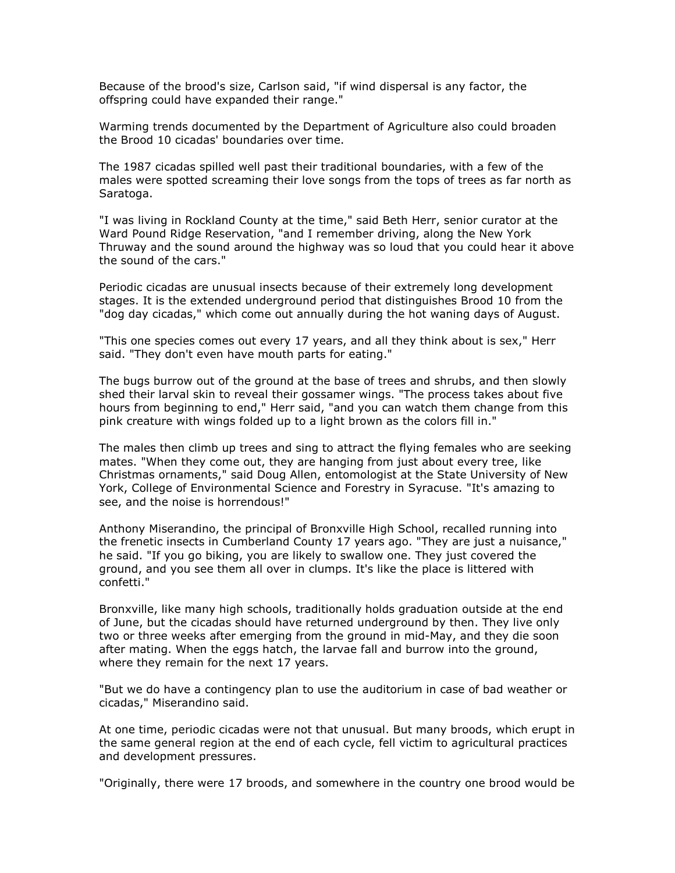Because of the brood's size, Carlson said, "if wind dispersal is any factor, the offspring could have expanded their range."

Warming trends documented by the Department of Agriculture also could broaden the Brood 10 cicadas' boundaries over time.

The 1987 cicadas spilled well past their traditional boundaries, with a few of the males were spotted screaming their love songs from the tops of trees as far north as Saratoga.

"I was living in Rockland County at the time," said Beth Herr, senior curator at the Ward Pound Ridge Reservation, "and I remember driving, along the New York Thruway and the sound around the highway was so loud that you could hear it above the sound of the cars."

Periodic cicadas are unusual insects because of their extremely long development stages. It is the extended underground period that distinguishes Brood 10 from the "dog day cicadas," which come out annually during the hot waning days of August.

"This one species comes out every 17 years, and all they think about is sex," Herr said. "They don't even have mouth parts for eating."

The bugs burrow out of the ground at the base of trees and shrubs, and then slowly shed their larval skin to reveal their gossamer wings. "The process takes about five hours from beginning to end," Herr said, "and you can watch them change from this pink creature with wings folded up to a light brown as the colors fill in."

The males then climb up trees and sing to attract the flying females who are seeking mates. "When they come out, they are hanging from just about every tree, like Christmas ornaments," said Doug Allen, entomologist at the State University of New York, College of Environmental Science and Forestry in Syracuse. "It's amazing to see, and the noise is horrendous!"

Anthony Miserandino, the principal of Bronxville High School, recalled running into the frenetic insects in Cumberland County 17 years ago. "They are just a nuisance," he said. "If you go biking, you are likely to swallow one. They just covered the ground, and you see them all over in clumps. It's like the place is littered with confetti."

Bronxville, like many high schools, traditionally holds graduation outside at the end of June, but the cicadas should have returned underground by then. They live only two or three weeks after emerging from the ground in mid-May, and they die soon after mating. When the eggs hatch, the larvae fall and burrow into the ground, where they remain for the next 17 years.

"But we do have a contingency plan to use the auditorium in case of bad weather or cicadas," Miserandino said.

At one time, periodic cicadas were not that unusual. But many broods, which erupt in the same general region at the end of each cycle, fell victim to agricultural practices and development pressures.

"Originally, there were 17 broods, and somewhere in the country one brood would be